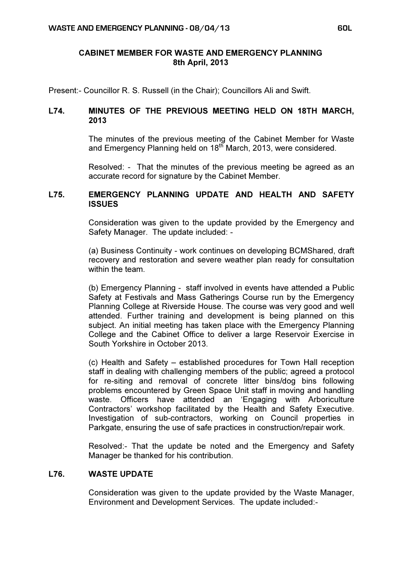## CABINET MEMBER FOR WASTE AND EMERGENCY PLANNING 8th April, 2013

Present:- Councillor R. S. Russell (in the Chair); Councillors Ali and Swift.

## L74. MINUTES OF THE PREVIOUS MEETING HELD ON 18TH MARCH, 2013

 The minutes of the previous meeting of the Cabinet Member for Waste and Emergency Planning held on 18<sup>th</sup> March, 2013, were considered.

Resolved: - That the minutes of the previous meeting be agreed as an accurate record for signature by the Cabinet Member.

## L75. EMERGENCY PLANNING UPDATE AND HEALTH AND SAFETY **ISSUES**

 Consideration was given to the update provided by the Emergency and Safety Manager. The update included: -

(a) Business Continuity - work continues on developing BCMShared, draft recovery and restoration and severe weather plan ready for consultation within the team.

(b) Emergency Planning - staff involved in events have attended a Public Safety at Festivals and Mass Gatherings Course run by the Emergency Planning College at Riverside House. The course was very good and well attended. Further training and development is being planned on this subject. An initial meeting has taken place with the Emergency Planning College and the Cabinet Office to deliver a large Reservoir Exercise in South Yorkshire in October 2013.

(c) Health and Safety – established procedures for Town Hall reception staff in dealing with challenging members of the public; agreed a protocol for re-siting and removal of concrete litter bins/dog bins following problems encountered by Green Space Unit staff in moving and handling waste. Officers have attended an 'Engaging with Arboriculture Contractors' workshop facilitated by the Health and Safety Executive. Investigation of sub-contractors, working on Council properties in Parkgate, ensuring the use of safe practices in construction/repair work.

Resolved:- That the update be noted and the Emergency and Safety Manager be thanked for his contribution.

## L76. WASTE UPDATE

 Consideration was given to the update provided by the Waste Manager, Environment and Development Services. The update included:-